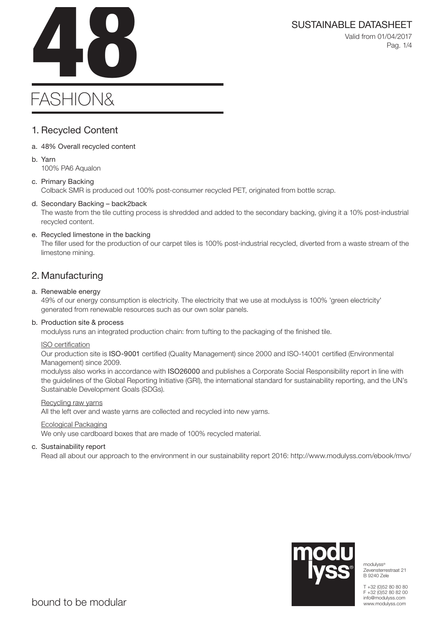# SUSTAINABLE DATASHEET<br>Valid from 01/04/2017<br>Pag. 1/4

Valid from 01/04/2017 Pag. 1/4

# FASHION&

# 1. Recycled Content

- a. 48% Overall recycled content
- b. Yarn 100% PA6 Aqualon

# c. Primary Backing

Colback SMR is produced out 100% post-consumer recycled PET, originated from bottle scrap.

# d. Secondary Backing – back2back

The waste from the tile cutting process is shredded and added to the secondary backing, giving it a 10% post-industrial recycled content.

# e. Recycled limestone in the backing

The filler used for the production of our carpet tiles is 100% post-industrial recycled, diverted from a waste stream of the limestone mining.

# 2. Manufacturing

# a. Renewable energy

49% of our energy consumption is electricity. The electricity that we use at modulyss is 100% 'green electricity' generated from renewable resources such as our own solar panels.

# b. Production site & process

modulyss runs an integrated production chain: from tufting to the packaging of the finished tile.

# ISO certification

Our production site is ISO-9001 certified (Quality Management) since 2000 and ISO-14001 certified (Environmental Management) since 2009.

modulyss also works in accordance with ISO26000 and publishes a Corporate Social Responsibility report in line with the guidelines of the Global Reporting Initiative (GRI), the international standard for sustainability reporting, and the UN's Sustainable Development Goals (SDGs).

# Recycling raw yarns

All the left over and waste yarns are collected and recycled into new yarns.

# Ecological Packaging

We only use cardboard boxes that are made of 100% recycled material.

# c. Sustainability report

Read all about our approach to the environment in our sustainability report 2016: http://www.modulyss.com/ebook/mvo/



modulyss® Zevensterrestraat 21 B 9240 Zele

T +32 (0)52 80 80 80 F +32 (0)52 80 82 00 info@modulyss.com www.modulyss.com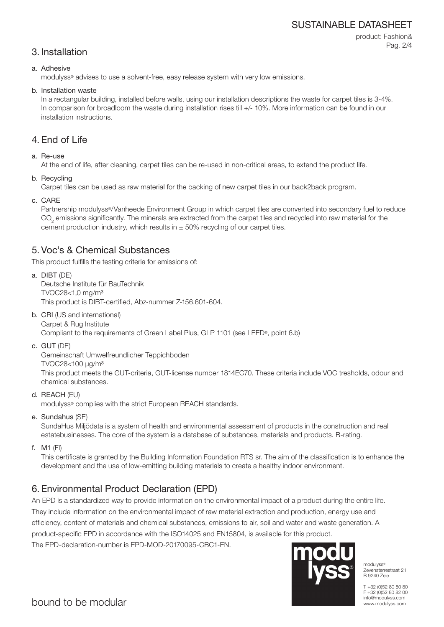# SUSTAINABLE DATASHEET

# 3. Installation

product: Fashion& Pag. 2/4

# a. Adhesive

modulyss® advises to use a solvent-free, easy release system with very low emissions.

# b. Installation waste

In a rectangular building, installed before walls, using our installation descriptions the waste for carpet tiles is 3-4%. In comparison for broadloom the waste during installation rises till  $+/-10\%$ . More information can be found in our installation instructions.

# 4. End of Life

# a. Re-use

At the end of life, after cleaning, carpet tiles can be re-used in non-critical areas, to extend the product life.

b. Recycling

Carpet tiles can be used as raw material for the backing of new carpet tiles in our back2back program.

c. CARE

Partnership modulyss®/Vanheede Environment Group in which carpet tiles are converted into secondary fuel to reduce  $\mathrm{CO}_2$  emissions significantly. The minerals are extracted from the carpet tiles and recycled into raw material for the cement production industry, which results in  $\pm$  50% recycling of our carpet tiles.

# 5. Voc's & Chemical Substances

This product fulfills the testing criteria for emissions of:

a. DIBT (DE) Deutsche Institute für BauTechnik TVOC28<1,0 mg/m³ This product is DIBT-certified, Abz-nummer Z-156.601-604.

- b. CRI (US and international) Carpet & Rug Institute Compliant to the requirements of Green Label Plus, GLP 1101 (see LEED®, point 6.b)
- c. GUT (DE)

Gemeinschaft Umwelfreundlicher Teppichboden

TVOC28<100 μg/m³

This product meets the GUT-criteria, GUT-license number 1814EC70. These criteria include VOC tresholds, odour and chemical substances.

d. REACH (EU)

modulyss® complies with the strict European REACH standards.

e. Sundahus (SE)

SundaHus Miljödata is a system of health and environmental assessment of products in the construction and real estatebusinesses. The core of the system is a database of substances, materials and products. B-rating.

f. M1 (FI)

This certificate is granted by the Building Information Foundation RTS sr. The aim of the classification is to enhance the development and the use of low-emitting building materials to create a healthy indoor environment.

# 6. Environmental Product Declaration (EPD)

An EPD is a standardized way to provide information on the environmental impact of a product during the entire life.

They include information on the environmental impact of raw material extraction and production, energy use and efficiency, content of materials and chemical substances, emissions to air, soil and water and waste generation. A product-specific EPD in accordance with the ISO14025 and EN15804, is available for this product. The EPD-declaration-number is EPD-MOD-20170095-CBC1-EN.



modulyss® Zevensterrestraat 21 B 9240 Zele

T +32 (0)52 80 80 80 F +32 (0)52 80 82 00 info@modulyss.com www.modulyss.com

bound to be modular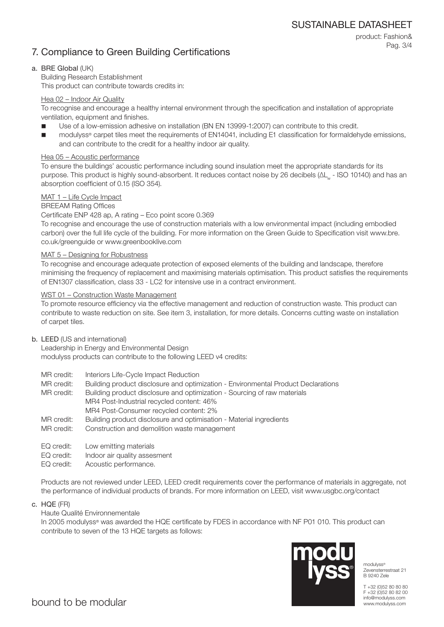# 7. Compliance to Green Building Certifications

product: Fashion& Pag. 3/4

# a. BRE Global (UK)

Building Research Establishment This product can contribute towards credits in:

### Hea 02 – Indoor Air Quality

To recognise and encourage a healthy internal environment through the specification and installation of appropriate ventilation, equipment and finishes.

- Use of a low-emission adhesive on installation (BN EN 13999-1:2007) can contribute to this credit.
- modulyss® carpet tiles meet the requirements of EN14041, including E1 classification for formaldehyde emissions, and can contribute to the credit for a healthy indoor air quality.

### Hea 05 – Acoustic performance

To ensure the buildings' acoustic performance including sound insulation meet the appropriate standards for its purpose. This product is highly sound-absorbent. It reduces contact noise by 26 decibels (ΔL<sub>w</sub> - ISO 10140) and has an absorption coefficient of 0.15 (ISO 354).

### MAT 1 – Life Cycle Impact

### BREEAM Rating Offices

### Certificate ENP 428 ap, A rating – Eco point score 0.369

To recognise and encourage the use of construction materials with a low environmental impact (including embodied carbon) over the full life cycle of the building. For more information on the Green Guide to Specification visit www.bre. co.uk/greenguide or www.greenbooklive.com

### MAT 5 – Designing for Robustness

To recognise and encourage adequate protection of exposed elements of the building and landscape, therefore minimising the frequency of replacement and maximising materials optimisation. This product satisfies the requirements of EN1307 classification, class 33 - LC2 for intensive use in a contract environment.

### WST 01 – Construction Waste Management

To promote resource efficiency via the effective management and reduction of construction waste. This product can contribute to waste reduction on site. See item 3, installation, for more details. Concerns cutting waste on installation of carpet tiles.

### b. LEED (US and international)

Leadership in Energy and Environmental Design modulyss products can contribute to the following LEED v4 credits:

- MR credit: Interiors Life-Cycle Impact Reduction
- MR credit: Building product disclosure and optimization Environmental Product Declarations

MR credit: Building product disclosure and optimization - Sourcing of raw materials MR4 Post-Industrial recycled content: 46% MR4 Post-Consumer recycled content: 2%

- MR credit: Building product disclosure and optimisation Material ingredients
- MR credit: Construction and demolition waste management
- EQ credit: Low emitting materials
- EQ credit: Indoor air quality assesment
- EQ credit: Acoustic performance.

Products are not reviewed under LEED, LEED credit requirements cover the performance of materials in aggregate, not the performance of individual products of brands. For more information on LEED, visit www.usgbc.org/contact

c. HQE (FR)

# Haute Qualité Environnementale

In 2005 modulyss® was awarded the HQE certificate by FDES in accordance with NF P01 010. This product can contribute to seven of the 13 HQE targets as follows:



modulyss® Zevensterrestraat 21 B 9240 Zele

T +32 (0)52 80 80 80 F +32 (0)52 80 82 00 info@modulyss.com www.modulyss.com